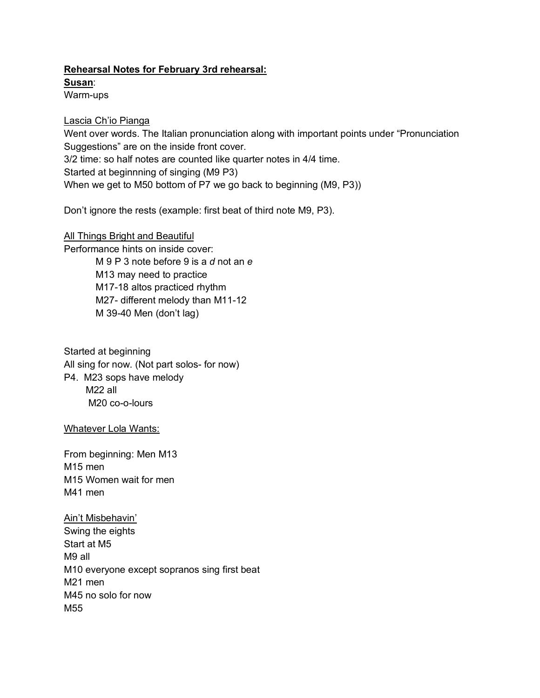## **Rehearsal Notes for February 3rd rehearsal:**

**Susan**:

Warm-ups

## Lascia Ch'io Pianga

Went over words. The Italian pronunciation along with important points under "Pronunciation Suggestions" are on the inside front cover. 3/2 time: so half notes are counted like quarter notes in 4/4 time. Started at beginnning of singing (M9 P3) When we get to M50 bottom of P7 we go back to beginning (M9, P3))

Don't ignore the rests (example: first beat of third note M9, P3).

All Things Bright and Beautiful Performance hints on inside cover: M 9 P 3 note before 9 is a *d* not an *e* M13 may need to practice M17-18 altos practiced rhythm M27- different melody than M11-12 M 39-40 Men (don't lag)

Started at beginning All sing for now. (Not part solos- for now) P4. M23 sops have melody M22 all M20 co-o-lours

Whatever Lola Wants:

From beginning: Men M13 M15 men M15 Women wait for men M41 men

Ain't Misbehavin' Swing the eights Start at M5 M9 all M10 everyone except sopranos sing first beat M21 men M45 no solo for now M55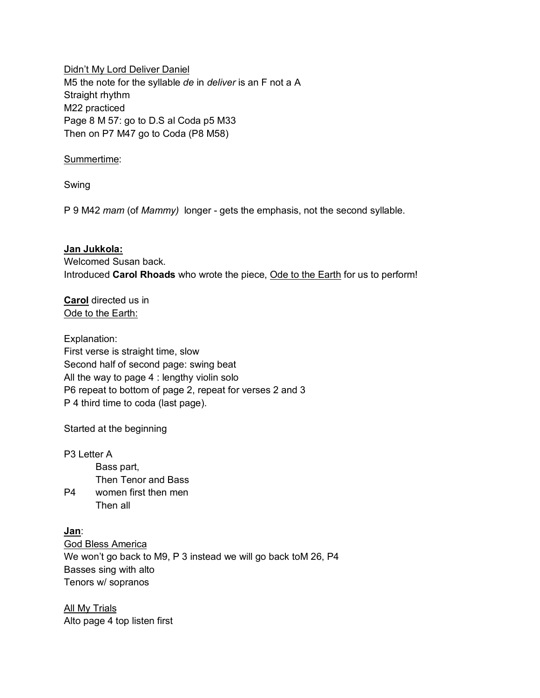Didn't My Lord Deliver Daniel M5 the note for the syllable *de* in *deliver* is an F not a A Straight rhythm M22 practiced Page 8 M 57: go to D.S al Coda p5 M33 Then on P7 M47 go to Coda (P8 M58)

Summertime:

Swing

P 9 M42 *mam* (of *Mammy)* longer - gets the emphasis, not the second syllable.

**Jan Jukkola:**  Welcomed Susan back. Introduced **Carol Rhoads** who wrote the piece, Ode to the Earth for us to perform!

**Carol** directed us in Ode to the Earth:

Explanation: First verse is straight time, slow Second half of second page: swing beat All the way to page 4 : lengthy violin solo P6 repeat to bottom of page 2, repeat for verses 2 and 3 P 4 third time to coda (last page).

Started at the beginning

P3 Letter A Bass part, Then Tenor and Bass P4 women first then men Then all

**Jan**: God Bless America We won't go back to M9, P 3 instead we will go back toM 26, P4 Basses sing with alto Tenors w/ sopranos

All My Trials Alto page 4 top listen first